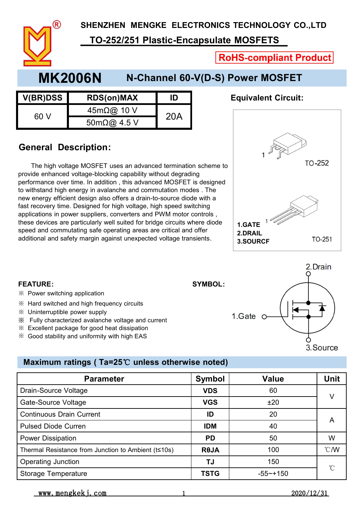**SHENZHEN MENGKE ELECTRONICS TECHNOLOGY CO.,LTD**

### **TO-252/251 Plastic-Encapsulate MOSFETS**

**RoHS-compliant Product** 

**Equivalent Circuit:** 

## **MK2006N N-Channel 60-V(D-S) Power MOSFET**

| <b>V(BR)DSS</b> | <b>RDS(on)MAX</b>               | ID  | <b>Equivalent Ci</b> |
|-----------------|---------------------------------|-----|----------------------|
| 60 V            | $45m\Omega$ @ 10 V              | 20A |                      |
|                 | $50 \text{m}\Omega\omega$ 4.5 V |     |                      |

#### **General Description:**

※ Power switching application

※ Uninterruptible power supply

※ Hard switched and high frequency circuits

 $\%$  Excellent package for good heat dissipation ※ Good stability and uniformity with high EAS

※ Fully characterized avalanche voltage and current

The high voltage MOSFET uses an advanced termination scheme to provide enhanced voltage-blocking capability without degrading performance over time. In addition , this advanced MOSFET is designed to withstand high energy in avalanche and commutation modes . The new energy efficient design also offers a drain-to-source diode with a fast recovery time. Designed for high voltage, high speed switching applications in power suppliers, converters and PWM motor controls , these devices are particularly well suited for bridge circuits where diode speed and commutating safe operating areas are critical and offer additional and safety margin against unexpected voltage transients.



2. Drain

# **FEATURE: SYMBOL:** 1.Gate o 3. Source

#### **Maximum ratings ( Ta=25**℃ **unless otherwise noted)**

| <b>Parameter</b>                                    | Symbol      | <b>Value</b> | <b>Unit</b>   |
|-----------------------------------------------------|-------------|--------------|---------------|
| Drain-Source Voltage                                | <b>VDS</b>  | 60           | V             |
| Gate-Source Voltage                                 | <b>VGS</b>  | ±20          |               |
| <b>Continuous Drain Current</b>                     | ID          | 20           |               |
| <b>Pulsed Diode Curren</b>                          | <b>IDM</b>  | 40           | A             |
| Power Dissipation                                   | <b>PD</b>   | 50           | W             |
| Thermal Resistance from Junction to Ambient (t≤10s) | <b>ROJA</b> | 100          | $\degree$ C/W |
| Operating Junction                                  | TJ          | 150          |               |
| Storage Temperature                                 | <b>TSTG</b> | $-55$ ~+150  | $^{\circ}$ C  |

www.mengkekj.com 1 2020/12/31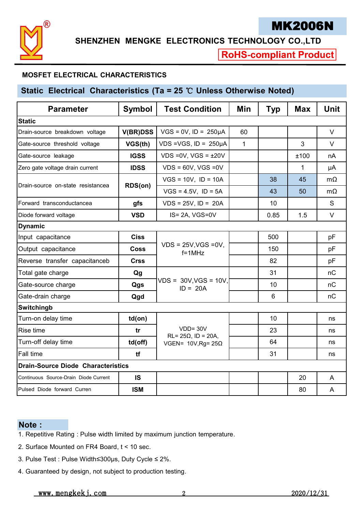

**SHENZHEN MENGKE ELECTRONICS TECHNOLOGY CO.,LTD**

**RoHS-compliant Product** 

#### **MOSFET ELECTRICAL CHARACTERISTICS**

#### **Static Electrical Characteristics** (Ta = 25 ℃ Unless Otherwise Noted)

| <b>Parameter</b>                          | <b>Symbol</b>   | <b>Test Condition</b>                      | Min          | <b>Typ</b> | <b>Max</b>   | <b>Unit</b> |
|-------------------------------------------|-----------------|--------------------------------------------|--------------|------------|--------------|-------------|
| <b>Static</b>                             |                 |                                            |              |            |              |             |
| Drain-source breakdown voltage            | <b>V(BR)DSS</b> | $VGS = 0V$ , $ID = 250\mu A$               | 60           |            |              | $\vee$      |
| Gate-source threshold voltage             | VGS(th)         | $VDS = VGS$ , $ID = 250\mu A$              | $\mathbf{1}$ |            | 3            | $\vee$      |
| Gate-source leakage                       | <b>IGSS</b>     | $VDS = 0V$ , $VGS = \pm 20V$               |              |            | ±100         | nA          |
| Zero gate voltage drain current           | <b>IDSS</b>     | $VDS = 60V$ , VGS = 0V                     |              |            | $\mathbf{1}$ | μA          |
|                                           |                 | $VGS = 10V$ , $ID = 10A$                   |              | 38         | 45           | $m\Omega$   |
| Drain-source on-state resistancea         | RDS(on)         | $VGS = 4.5V$ , ID = 5A                     |              | 43         | 50           | $m\Omega$   |
| Forward transconductancea                 | gfs             | $VDS = 25V$ , $ID = 20A$                   |              | 10         |              | S           |
| Diode forward voltage                     | <b>VSD</b>      | IS=2A, VGS=0V                              |              | 0.85       | 1.5          | $\vee$      |
| <b>Dynamic</b>                            |                 |                                            |              |            |              |             |
| Input capacitance                         | <b>Ciss</b>     |                                            |              | 500        |              | pF          |
| Output capacitance                        | <b>Coss</b>     | $VDS = 25V$ , VGS = 0V,<br>$f = 1$ MHz     |              | 150        |              | pF          |
| Reverse transfer capacitanceb             | <b>Crss</b>     |                                            |              | 82         |              | pF          |
| Total gate charge                         | Qg              |                                            |              | 31         |              | nC          |
| Gate-source charge                        | Qgs             | $VDS = 30V$ , VGS = 10V,<br>$ID = 20A$     |              | 10         |              | nC          |
| Gate-drain charge                         | Qgd             |                                            |              | 6          |              | nC          |
| Switchingb                                |                 |                                            |              |            |              |             |
| Turn-on delay time                        | $td($ on $)$    |                                            |              | 10         |              | ns          |
| Rise time                                 | tr              | $VDD = 30V$<br>$RL = 25\Omega$ , ID = 20A, |              | 23         |              | ns          |
| Turn-off delay time                       | td(off)         | VGEN= $10V$ , Rg= $25\Omega$               |              | 64         |              | ns          |
| <b>Fall time</b>                          | tf              |                                            |              | 31         |              | ns          |
| <b>Drain-Source Diode Characteristics</b> |                 |                                            |              |            |              |             |
| Continuous Source-Drain Diode Current     | <b>IS</b>       |                                            |              |            | 20           | A           |
| Pulsed Diode forward Curren               | <b>ISM</b>      |                                            |              |            | 80           | A           |
|                                           |                 |                                            |              |            |              |             |

#### **Note :**

- 1. Repetitive Rating : Pulse width limited by maximum junction temperature.
- 2. Surface Mounted on FR4 Board,  $t < 10$  sec.
- 3. Pulse Test : Pulse Width≤300µs, Duty Cycle ≤ 2%.
- 4. Guaranteed by design, not subject to production testing.

<u>www.mengkekj.com 2 2 2020/12/31</u>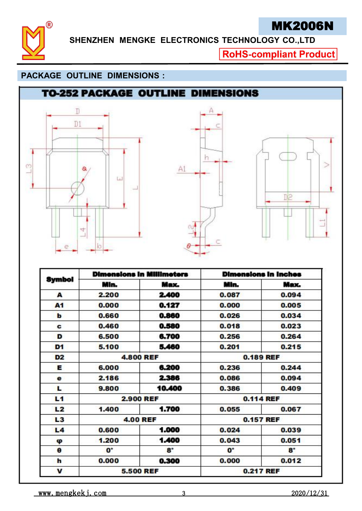

## MK2006N

**SHENZHEN MENGKE ELECTRONICS TECHNOLOGY CO.,LTD**

**RoHS-compliant Product** 

#### **PACKAGE OUTLINE DIMENSIONS :**

## **TO-252 PACKAGE OUTLINE DIMENSIONS**







| Symbol         |                      | <b>Dimensions in Millimeters</b> | <b>Dimensions in Inches</b> |                  |  |
|----------------|----------------------|----------------------------------|-----------------------------|------------------|--|
|                | Min.                 | Max.                             | Min.                        | Max.             |  |
| A              | 2.200                | 2.400                            | 0.087                       | 0.094            |  |
| A1             | 0.000                | 0.127                            | 0.000                       | 0.005            |  |
| b              | 0.660                | 0.860                            | 0.026                       | 0.034            |  |
| c              | 0.460                | 0.580                            | 0.018                       | 0.023            |  |
| D              | 6.500                | 6.700                            | 0.256                       | 0.264            |  |
| D <sub>1</sub> | 5.100                | 5.460                            | 0.201                       | 0.215            |  |
| D <sub>2</sub> |                      | <b>4.800 REF</b>                 |                             | 0.189 REF        |  |
| Е              | 6.000                | 6.200                            | 0.236                       | 0.244            |  |
| e              | 2.186                | 2.386                            | 0.086                       | 0.094            |  |
| L              | 9.800                | 10.400                           | 0.386                       | 0.409            |  |
| L <sub>1</sub> | <b>2.900 REF</b>     |                                  | 0.114 REF                   |                  |  |
| L2             | 1.400                | 1.700                            | 0.055                       | 0.067            |  |
| L <sub>3</sub> | <b>4.00 REF</b>      |                                  |                             | <b>0.157 REF</b> |  |
| L <sub>4</sub> | 0.600                | 1.000                            | 0.024                       | 0.039            |  |
| φ              | 1.200                | 1.400                            | 0.043                       | 0.051            |  |
| $\pmb{\Theta}$ | $\mathbf{O}^{\circ}$ | $8^\circ$                        | $\mathbf{O}^{\circ}$        | $8^\circ$        |  |
| h              | 0.000                | 0.300                            | 0.000                       | 0.012            |  |
| v              | <b>5.500 REF</b>     |                                  |                             | <b>0.217 REF</b> |  |

www.mengkekj.com 3 2020/12/31